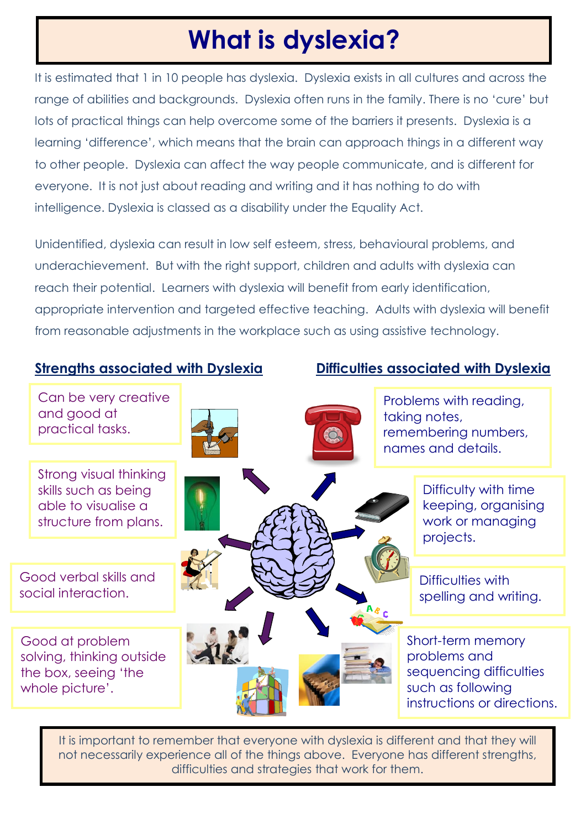## **What is dyslexia?**

It is estimated that 1 in 10 people has dyslexia. Dyslexia exists in all cultures and across the range of abilities and backgrounds. Dyslexia often runs in the family. There is no 'cure' but lots of practical things can help overcome some of the barriers it presents. Dyslexia is a learning 'difference', which means that the brain can approach things in a different way to other people. Dyslexia can affect the way people communicate, and is different for everyone. It is not just about reading and writing and it has nothing to do with intelligence. Dyslexia is classed as a disability under the Equality Act.

Unidentified, dyslexia can result in low self esteem, stress, behavioural problems, and underachievement. But with the right support, children and adults with dyslexia can reach their potential. Learners with dyslexia will benefit from early identification, appropriate intervention and targeted effective teaching. Adults with dyslexia will benefit from reasonable adjustments in the workplace such as using assistive technology.

**Strengths associated with Dyslexia Difficulties associated with Dyslexia**



It is important to remember that everyone with dyslexia is different and that they will not necessarily experience all of the things above. Everyone has different strengths, difficulties and strategies that work for them.